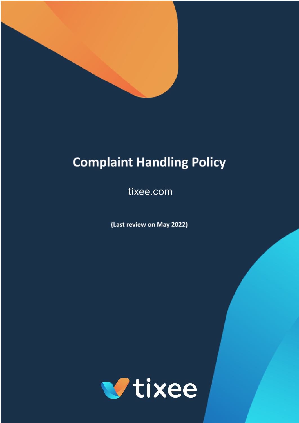

# **Complaint Handling Policy**

tixee.com

(Last review on May 2022)

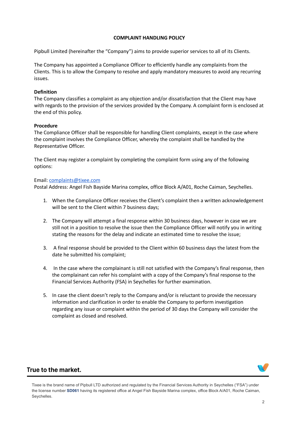#### **COMPLAINT HANDLING POLICY**

Pipbull Limited (hereinafter the "Company") aims to provide superior services to all of its Clients.

The Company has appointed a Compliance Officer to efficiently handle any complaints from the Clients. This is to allow the Company to resolve and apply mandatory measures to avoid any recurring issues.

#### **Definition**

The Company classifies a complaint as any objection and/or dissatisfaction that the Client may have with regards to the provision of the services provided by the Company. A complaint form is enclosed at the end of this policy.

#### **Procedure**

The Compliance Officer shall be responsible for handling Client complaints, except in the case where the complaint involves the Compliance Officer, whereby the complaint shall be handled by the Representative Officer.

The Client may register a complaint by completing the complaint form using any of the following options:

#### Email: [complaints@tixee.com](mailto:complaints@tixee.com)

Postal Address: Angel Fish Bayside Marina complex, office Block A/A01, Roche Caiman, Seychelles.

- 1. When the Compliance Officer receives the Client's complaint then a written acknowledgement will be sent to the Client within 7 business days;
- 2. The Company will attempt a final response within 30 business days, however in case we are still not in a position to resolve the issue then the Compliance Officer will notify you in writing stating the reasons for the delay and indicate an estimated time to resolve the issue;
- 3. A final response should be provided to the Client within 60 business days the latest from the date he submitted his complaint;
- 4. In the case where the complainant is still not satisfied with the Company's final response, then the complainant can refer his complaint with a copy of the Company's final response to the Financial Services Authority (FSA) in Seychelles for further examination.
- 5. In case the client doesn't reply to the Company and/or is reluctant to provide the necessary information and clarification in order to enable the Company to perform investigation regarding any issue or complaint within the period of 30 days the Company will consider the complaint as closed and resolved.

# True to the market.

Tixee is the brand name of Pipbull LTD authorized and regulated by the Financial Services Authority in Seychelles ("FSA") under the license number **[SD061](https://fsaseychelles.sc/regulated-entities/capital-markets)** having its registered office at Angel Fish Bayside Marina complex, office Block A/A01, Roche Caiman, Seychelles.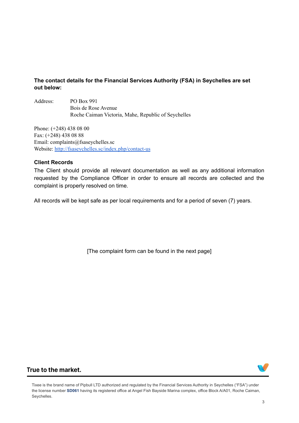### **The contact details for the Financial Services Authority (FSA) in Seychelles are set out below:**

Address: PO Box 991 Bois de Rose Avenue Roche Caiman Victoria, Mahe, Republic of Seychelles

Phone: (+248) 438 08 00 Fax: (+248) 438 08 88 Email: complaints@fsaseychelles.sc Website: <http://fsaseychelles.sc/index.php/contact-us>

#### **Client Records**

The Client should provide all relevant documentation as well as any additional information requested by the Compliance Officer in order to ensure all records are collected and the complaint is properly resolved on time.

All records will be kept safe as per local requirements and for a period of seven (7) years.

[The complaint form can be found in the next page]

# True to the market.

Tixee is the brand name of Pipbull LTD authorized and regulated by the Financial Services Authority in Seychelles ("FSA") under the license number **[SD061](https://fsaseychelles.sc/regulated-entities/capital-markets)** having its registered office at Angel Fish Bayside Marina complex, office Block A/A01, Roche Caiman, Seychelles.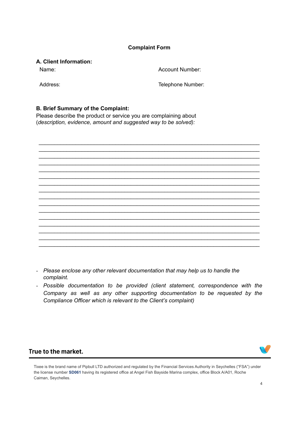#### **Complaint Form**

#### **A. Client Information:**

Name:

Account Number:

Address:

Telephone Number:

#### **B. Brief Summary of the Complaint:**

Please describe the product or service you are complaining about (*description, evidence, amount and suggested way to be solved):*



- *Please enclose any other relevant documentation that may help us to handle the complaint.*
- *Possible documentation to be provided (client statement, correspondence with the Company as well as any other supporting documentation to be requested by the Compliance Officer which is relevant to the Client's complaint)*

# True to the market.



Tixee is the brand name of Pipbull LTD authorized and regulated by the Financial Services Authority in Seychelles ("FSA") under the license number **[SD061](https://fsaseychelles.sc/regulated-entities/capital-markets)** having its registered office at Angel Fish Bayside Marina complex, office Block A/A01, Roche Caiman, Seychelles.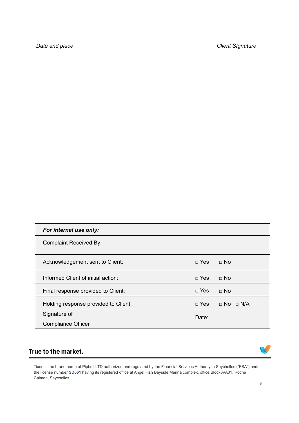**Date** and place *Date and place Client* SIgnature

| For internal use only:               |              |                      |
|--------------------------------------|--------------|----------------------|
| Complaint Received By:               |              |                      |
| Acknowledgement sent to Client:      | $\sqcap$ Yes | $\Box$ No            |
| Informed Client of initial action:   | $\Box$ Yes   | $\Box$ No            |
| Final response provided to Client:   | $\Box$ Yes   | $\Box$ No            |
| Holding response provided to Client: | $\Box$ Yes   | $\Box$ No $\Box$ N/A |
| Signature of                         | Date:        |                      |
| <b>Compliance Officer</b>            |              |                      |

*\_\_\_\_\_\_\_\_\_\_\_\_\_\_\_ \_\_\_\_\_\_\_\_\_\_\_\_\_\_\_*

# True to the market.

Tixee is the brand name of Pipbull LTD authorized and regulated by the Financial Services Authority in Seychelles ("FSA") under the license number **[SD061](https://fsaseychelles.sc/regulated-entities/capital-markets)** having its registered office at Angel Fish Bayside Marina complex, office Block A/A01, Roche Caiman, Seychelles.